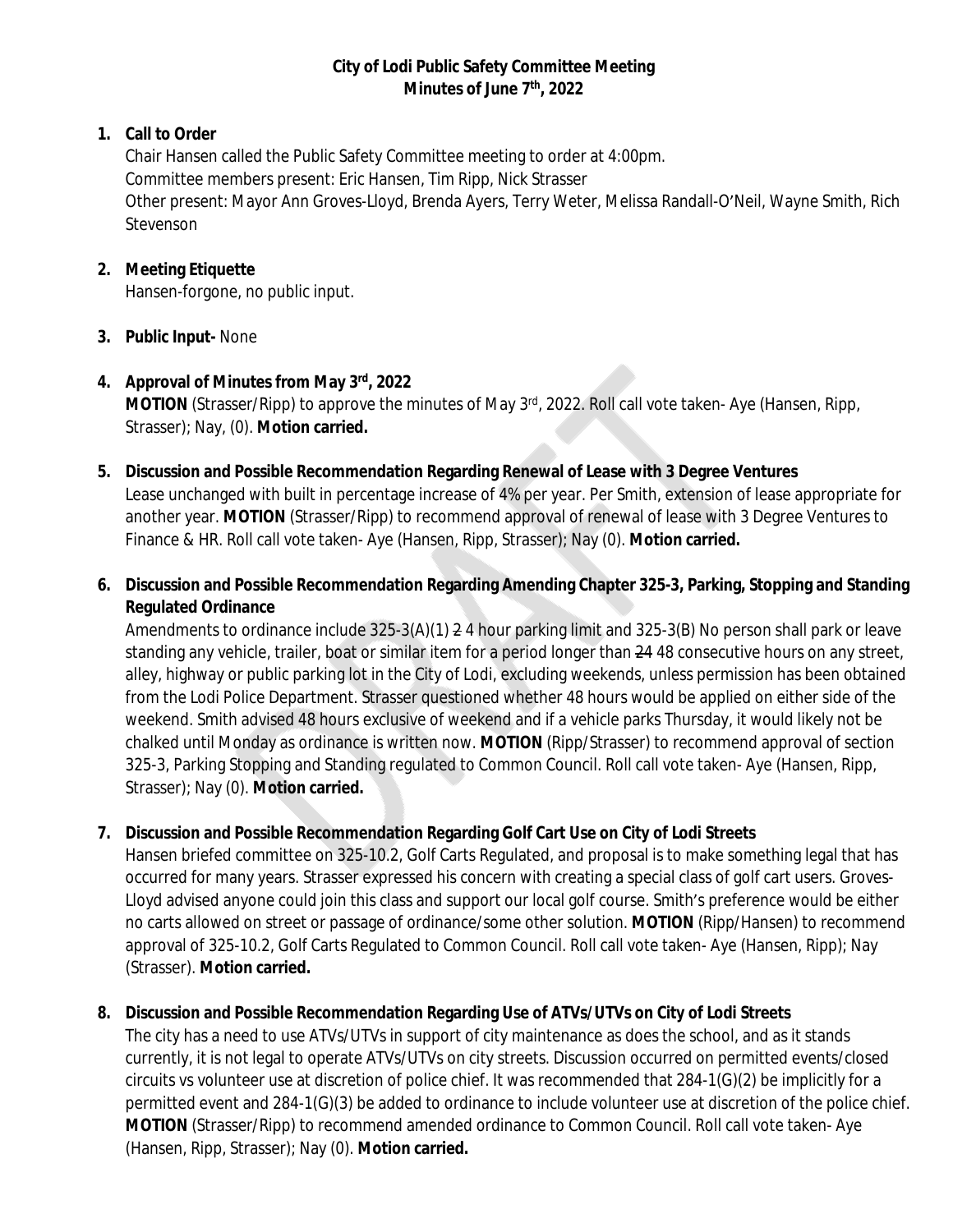# **City of Lodi Public Safety Committee Meeting Minutes of June 7th, 2022**

# **1. Call to Order**

Chair Hansen called the Public Safety Committee meeting to order at 4:00pm. Committee members present: Eric Hansen, Tim Ripp, Nick Strasser Other present: Mayor Ann Groves-Lloyd, Brenda Ayers, Terry Weter, Melissa Randall-O'Neil, Wayne Smith, Rich Stevenson

## **2. Meeting Etiquette**

Hansen-forgone, no public input.

# **3. Public Input-** None

### **4. Approval of Minutes from May 3rd, 2022 MOTION** (Strasser/Ripp) to approve the minutes of May 3<sup>rd</sup>, 2022. Roll call vote taken- Aye (Hansen, Ripp, Strasser); Nay, (0). **Motion carried.**

- **5. Discussion and Possible Recommendation Regarding Renewal of Lease with 3 Degree Ventures** Lease unchanged with built in percentage increase of 4% per year. Per Smith, extension of lease appropriate for another year. **MOTION** (Strasser/Ripp) to recommend approval of renewal of lease with 3 Degree Ventures to Finance & HR. Roll call vote taken- Aye (Hansen, Ripp, Strasser); Nay (0). **Motion carried.**
- **6. Discussion and Possible Recommendation Regarding Amending Chapter 325-3, Parking, Stopping and Standing Regulated Ordinance**

Amendments to ordinance include 325-3(A)(1) 2 4 hour parking limit and 325-3(B) No person shall park or leave standing any vehicle, trailer, boat or similar item for a period longer than 24 48 consecutive hours on any street, alley, highway or public parking lot in the City of Lodi, excluding weekends, unless permission has been obtained from the Lodi Police Department. Strasser questioned whether 48 hours would be applied on either side of the weekend. Smith advised 48 hours exclusive of weekend and if a vehicle parks Thursday, it would likely not be chalked until Monday as ordinance is written now. **MOTION** (Ripp/Strasser) to recommend approval of section 325-3, Parking Stopping and Standing regulated to Common Council. Roll call vote taken- Aye (Hansen, Ripp, Strasser); Nay (0). **Motion carried.**

# **7. Discussion and Possible Recommendation Regarding Golf Cart Use on City of Lodi Streets**

Hansen briefed committee on 325-10.2, Golf Carts Regulated, and proposal is to make something legal that has occurred for many years. Strasser expressed his concern with creating a special class of golf cart users. Groves-Lloyd advised anyone could join this class and support our local golf course. Smith's preference would be either no carts allowed on street or passage of ordinance/some other solution. **MOTION** (Ripp/Hansen) to recommend approval of 325-10.2, Golf Carts Regulated to Common Council. Roll call vote taken- Aye (Hansen, Ripp); Nay (Strasser). **Motion carried.**

# **8. Discussion and Possible Recommendation Regarding Use of ATVs/UTVs on City of Lodi Streets**

The city has a need to use ATVs/UTVs in support of city maintenance as does the school, and as it stands currently, it is not legal to operate ATVs/UTVs on city streets. Discussion occurred on permitted events/closed circuits vs volunteer use at discretion of police chief. It was recommended that 284-1(G)(2) be implicitly for a permitted event and 284-1(G)(3) be added to ordinance to include volunteer use at discretion of the police chief. **MOTION** (Strasser/Ripp) to recommend amended ordinance to Common Council. Roll call vote taken- Aye (Hansen, Ripp, Strasser); Nay (0). **Motion carried.**